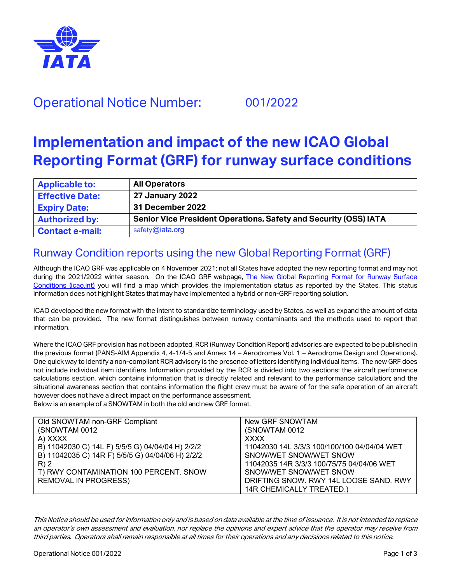

## Operational Notice Number: 001/2022

# **Implementation and impact of the new ICAO Global Reporting Format (GRF) for runway surface conditions**

| <b>Applicable to:</b>  | <b>All Operators</b>                                                    |
|------------------------|-------------------------------------------------------------------------|
| <b>Effective Date:</b> | <b>27 January 2022</b>                                                  |
| <b>Expiry Date:</b>    | 31 December 2022                                                        |
| <b>Authorized by:</b>  | <b>Senior Vice President Operations, Safety and Security (OSS) IATA</b> |
| <b>Contact e-mail:</b> | safety@iata.org                                                         |

### Runway Condition reports using the new Global Reporting Format (GRF)

Although the ICAO GRF was applicable on 4 November 2021; not all States have adopted the new reporting format and may not during the 2021/2022 winter season. On the ICAO GRF webpage, The New Global Reporting Format for Runway Surface [Conditions \(icao.int\)](https://www.icao.int/Safety/pages/grf.aspx) you will find a map which provides the implementation status as reported by the States. This status information does not highlight States that may have implemented a hybrid or non-GRF reporting solution.

ICAO developed the new format with the intent to standardize terminology used by States, as well as expand the amount of data that can be provided. The new format distinguishes between runway contaminants and the methods used to report that information.

Where the ICAO GRF provision has not been adopted, RCR (Runway Condition Report) advisories are expected to be published in the previous format (PANS-AIM Appendix 4, 4-1/4-5 and Annex 14 – Aerodromes Vol. 1 – Aerodrome Design and Operations). One quick way to identify a non-compliant RCR advisory is the presence of letters identifying individual items. The new GRF does not include individual item identifiers. Information provided by the RCR is divided into two sections: the aircraft performance calculations section, which contains information that is directly related and relevant to the performance calculation; and the situational awareness section that contains information the flight crew must be aware of for the safe operation of an aircraft however does not have a direct impact on the performance assessment.

Below is an example of a SNOWTAM in both the old and new GRF format.

| Old SNOWTAM non-GRF Compliant                    | New GRF SNOWTAM                             |
|--------------------------------------------------|---------------------------------------------|
| (SNOWTAM 0012)                                   | (SNOWTAM 0012)                              |
| A) XXXX                                          | <b>XXXX</b>                                 |
| B) 11042030 C) 14L F) 5/5/5 G) 04/04/04 H) 2/2/2 | 11042030 14L 3/3/3 100/100/100 04/04/04 WET |
| B) 11042035 C) 14R F) 5/5/5 G) 04/04/06 H) 2/2/2 | SNOW/WET SNOW/WET SNOW                      |
| R)2                                              | 11042035 14R 3/3/3 100/75/75 04/04/06 WET   |
| T) RWY CONTAMINATION 100 PERCENT. SNOW           | SNOW/WET SNOW/WET SNOW                      |
| <b>REMOVAL IN PROGRESS)</b>                      | DRIFTING SNOW, RWY 14L LOOSE SAND, RWY      |
|                                                  | 14R CHEMICALLY TREATED.)                    |

This Notice should be used for information only and is based on data available at the time of issuance. It is not intended to replace an operator's own assessment and evaluation, nor replace the opinions and expert advice that the operator may receive from third parties. Operators shall remain responsible at all times for their operations and any decisions related to this notice.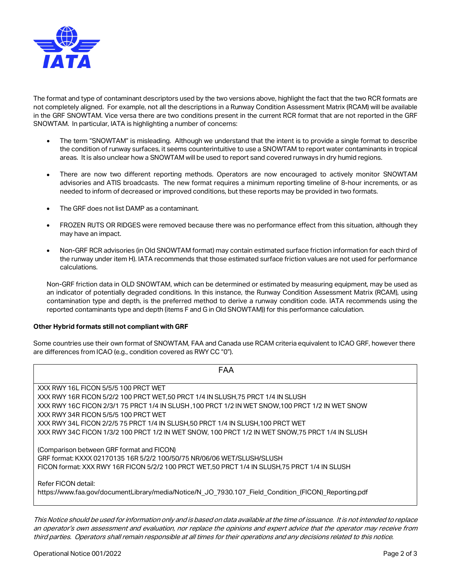

The format and type of contaminant descriptors used by the two versions above, highlight the fact that the two RCR formats are not completely aligned. For example, not all the descriptions in a Runway Condition Assessment Matrix (RCAM) will be available in the GRF SNOWTAM. Vice versa there are two conditions present in the current RCR format that are not reported in the GRF SNOWTAM. In particular, IATA is highlighting a number of concerns:

- The term "SNOWTAM" is misleading. Although we understand that the intent is to provide a single format to describe the condition of runway surfaces, it seems counterintuitive to use a SNOWTAM to report water contaminants in tropical areas. It is also unclear how a SNOWTAM will be used to report sand covered runways in dry humid regions.
- There are now two different reporting methods. Operators are now encouraged to actively monitor SNOWTAM advisories and ATIS broadcasts. The new format requires a minimum reporting timeline of 8-hour increments, or as needed to inform of decreased or improved conditions, but these reports may be provided in two formats.
- The GRF does not list DAMP as a contaminant.
- FROZEN RUTS OR RIDGES were removed because there was no performance effect from this situation, although they may have an impact.
- Non-GRF RCR advisories (in Old SNOWTAM format) may contain estimated surface friction information for each third of the runway under item H). IATA recommends that those estimated surface friction values are not used for performance calculations.

Non-GRF friction data in OLD SNOWTAM, which can be determined or estimated by measuring equipment, may be used as an indicator of potentially degraded conditions. In this instance, the Runway Condition Assessment Matrix (RCAM), using contamination type and depth, is the preferred method to derive a runway condition code. IATA recommends using the reported contaminants type and depth (items F and G in Old SNOWTAM)) for this performance calculation.

#### **Other Hybrid formats still not compliant with GRF**

Some countries use their own format of SNOWTAM, FAA and Canada use RCAM criteria equivalent to ICAO GRF, however there are differences from ICAO (e.g., condition covered as RWY CC "0").

| FAA                                                                                                                                                                                                                                        |  |  |
|--------------------------------------------------------------------------------------------------------------------------------------------------------------------------------------------------------------------------------------------|--|--|
| XXX RWY 16L FICON 5/5/5 100 PRCT WET                                                                                                                                                                                                       |  |  |
| XXX RWY 16R FICON 5/2/2 100 PRCT WET.50 PRCT 1/4 IN SLUSH.75 PRCT 1/4 IN SLUSH                                                                                                                                                             |  |  |
| XXX RWY 16C FICON 2/3/1 75 PRCT 1/4 IN SLUSH, 100 PRCT 1/2 IN WET SNOW, 100 PRCT 1/2 IN WET SNOW                                                                                                                                           |  |  |
| XXX RWY 34R FICON 5/5/5 100 PRCT WET                                                                                                                                                                                                       |  |  |
| XXX RWY 34L FICON 2/2/5 75 PRCT 1/4 IN SLUSH.50 PRCT 1/4 IN SLUSH.100 PRCT WET                                                                                                                                                             |  |  |
| XXX RWY 34C FICON 1/3/2 100 PRCT 1/2 IN WET SNOW, 100 PRCT 1/2 IN WET SNOW, 75 PRCT 1/4 IN SLUSH                                                                                                                                           |  |  |
| (Comparison between GRF format and FICON)<br>GRF format: KXXX 02170135 16R 5/2/2 100/50/75 NR/06/06 WET/SLUSH/SLUSH<br>FICON format: XXX RWY 16R FICON 5/2/2 100 PRCT WET.50 PRCT 1/4 IN SLUSH.75 PRCT 1/4 IN SLUSH<br>Refer FICON detail: |  |  |
| https://www.faa.gov/documentLibrary/media/Notice/N JO 7930.107 Field Condition (FICON) Reporting.pdf                                                                                                                                       |  |  |

This Notice should be used for information only and is based on data available at the time of issuance. It is not intended to replace an operator's own assessment and evaluation, nor replace the opinions and expert advice that the operator may receive from third parties. Operators shall remain responsible at all times for their operations and any decisions related to this notice.